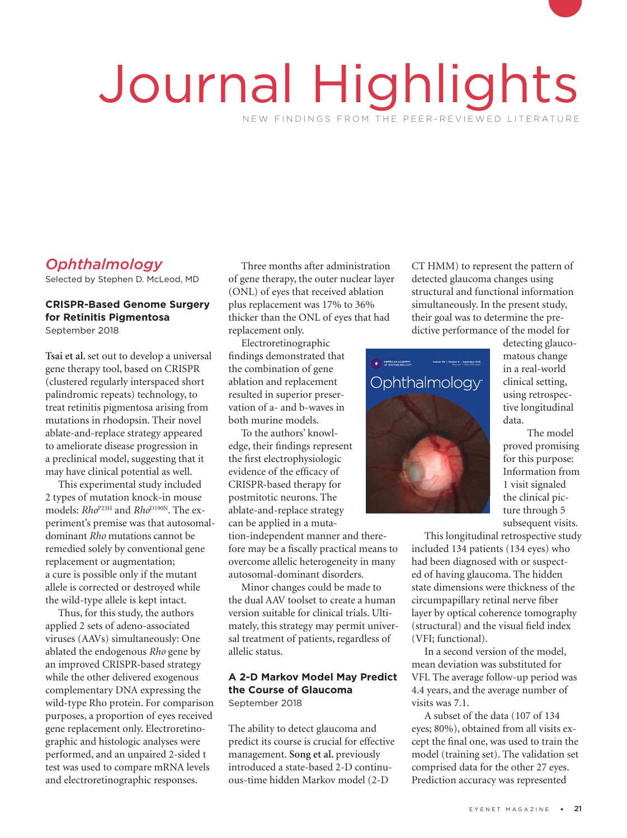# Journal Highlights NEW FINDINGS FROM THE PEER-REVIEWED LITERATURE

# *Ophthalmology*

Selected by Stephen D. McLeod, MD

## **CRISPR-Based Genome Surgery for Retinitis Pigmentosa**

September 2018

**Tsai et al.** set out to develop a universal gene therapy tool, based on CRISPR (clustered regularly interspaced short palindromic repeats) technology, to treat retinitis pigmentosa arising from mutations in rhodopsin. Their novel ablate-and-replace strategy appeared to ameliorate disease progression in a preclinical model, suggesting that it may have clinical potential as well.

This experimental study included 2 types of mutation knock-in mouse models:  $Rho^{P23H}$  and  $Rho^{D190N}$ . The experiment's premise was that autosomaldominant *Rho* mutations cannot be remedied solely by conventional gene replacement or augmentation; a cure is possible only if the mutant allele is corrected or destroyed while the wild-type allele is kept intact.

Thus, for this study, the authors applied 2 sets of adeno-associated viruses (AAVs) simultaneously: One ablated the endogenous *Rho* gene by an improved CRISPR-based strategy while the other delivered exogenous complementary DNA expressing the wild-type Rho protein. For comparison purposes, a proportion of eyes received gene replacement only. Electroretinographic and histologic analyses were performed, and an unpaired 2-sided t test was used to compare mRNA levels and electroretinographic responses.

Three months after administration of gene therapy, the outer nuclear layer (ONL) of eyes that received ablation plus replacement was 17% to 36% thicker than the ONL of eyes that had replacement only.

Electroretinographic findings demonstrated that the combination of gene ablation and replacement resulted in superior preservation of a- and b-waves in both murine models.

To the authors' knowlboth murine models.<br>To the authors' knowledge, their findings represent the first electrophysiologic evidence of the efficacy of CRISPR-based therapy for postmitotic neurons. The ablate-and-replace strategy can be applied in a mutation-independent manner and therefore may be a fiscally practical means to overcome allelic heterogeneity in many autosomal-dominant disorders.

Minor changes could be made to the dual AAV toolset to create a human version suitable for clinical trials. Ultimately, this strategy may permit universal treatment of patients, regardless of allelic status.

#### **A 2-D Markov Model May Predict the Course of Glaucoma** September 2018

The ability to detect glaucoma and predict its course is crucial for effective management. **Song et al.** previously introduced a state-based 2-D continuous-time hidden Markov model (2-D

CT HMM) to represent the pattern of detected glaucoma changes using structural and functional information simultaneously. In the present study, their goal was to determine the predictive performance of the model for



detecting glaucomatous change in a real-world clinical setting, using retrospective longitudinal data.

The model proved promising for this purpose: Information from 1 visit signaled the clinical picture through 5 subsequent visits.

This longitudinal retrospective study

included 134 patients (134 eyes) who had been diagnosed with or suspected of having glaucoma. The hidden state dimensions were thickness of the circumpapillary retinal nerve fiber layer by optical coherence tomography (structural) and the visual field index (VFI; functional).

In a second version of the model, mean deviation was substituted for VFI. The average follow-up period was 4.4 years, and the average number of visits was 7.1.

A subset of the data (107 of 134 eyes; 80%), obtained from all visits except the final one, was used to train the model (training set). The validation set comprised data for the other 27 eyes. Prediction accuracy was represented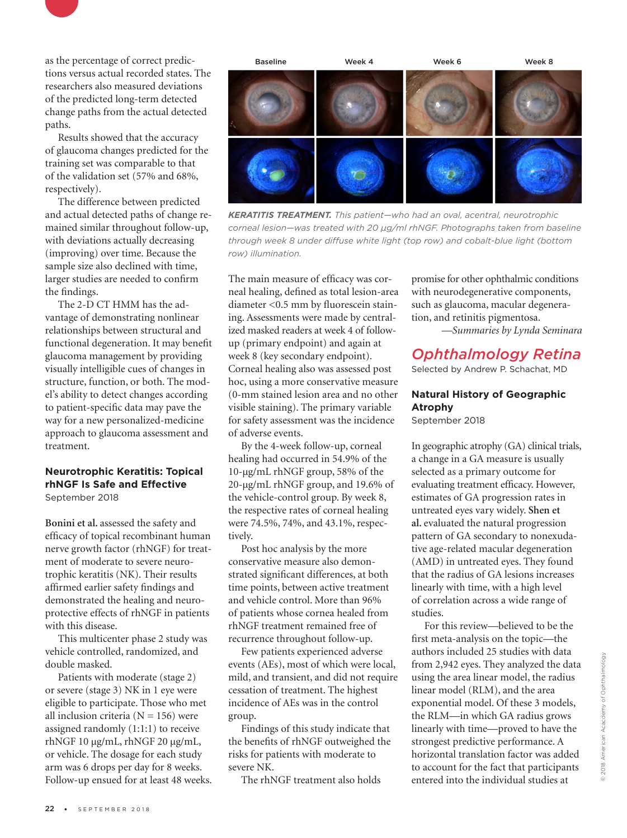

as the percentage of correct predictions versus actual recorded states. The researchers also measured deviations of the predicted long-term detected change paths from the actual detected paths.

Results showed that the accuracy of glaucoma changes predicted for the training set was comparable to that of the validation set (57% and 68%, respectively).

The difference between predicted and actual detected paths of change remained similar throughout follow-up, with deviations actually decreasing (improving) over time. Because the sample size also declined with time, larger studies are needed to confirm the findings.

The 2-D CT HMM has the advantage of demonstrating nonlinear relationships between structural and functional degeneration. It may benefit glaucoma management by providing visually intelligible cues of changes in structure, function, or both. The model's ability to detect changes according to patient-specific data may pave the way for a new personalized-medicine approach to glaucoma assessment and treatment.

#### **Neurotrophic Keratitis: Topical rhNGF Is Safe and Effective** September 2018

**Bonini et al.** assessed the safety and efficacy of topical recombinant human nerve growth factor (rhNGF) for treatment of moderate to severe neurotrophic keratitis (NK). Their results affirmed earlier safety findings and demonstrated the healing and neuroprotective effects of rhNGF in patients with this disease.

This multicenter phase 2 study was vehicle controlled, randomized, and double masked.

Patients with moderate (stage 2) or severe (stage 3) NK in 1 eye were eligible to participate. Those who met all inclusion criteria  $(N = 156)$  were assigned randomly (1:1:1) to receive rhNGF 10 μg/mL, rhNGF 20 μg/mL, or vehicle. The dosage for each study arm was 6 drops per day for 8 weeks. Follow-up ensued for at least 48 weeks.



*KERATITIS TREATMENT. This patient—who had an oval, acentral, neurotrophic corneal lesion—was treated with 20 μg/ml rhNGF. Photographs taken from baseline through week 8 under diffuse white light (top row) and cobalt-blue light (bottom row) illumination.*

The main measure of efficacy was corneal healing, defined as total lesion-area diameter <0.5 mm by fluorescein staining. Assessments were made by centralized masked readers at week 4 of followup (primary endpoint) and again at week 8 (key secondary endpoint). Corneal healing also was assessed post hoc, using a more conservative measure (0-mm stained lesion area and no other visible staining). The primary variable for safety assessment was the incidence of adverse events.

By the 4-week follow-up, corneal healing had occurred in 54.9% of the 10-μg/mL rhNGF group, 58% of the 20-μg/mL rhNGF group, and 19.6% of the vehicle-control group. By week 8, the respective rates of corneal healing were 74.5%, 74%, and 43.1%, respectively.

Post hoc analysis by the more conservative measure also demonstrated significant differences, at both time points, between active treatment and vehicle control. More than 96% of patients whose cornea healed from rhNGF treatment remained free of recurrence throughout follow-up.

Few patients experienced adverse events (AEs), most of which were local, mild, and transient, and did not require cessation of treatment. The highest incidence of AEs was in the control group.

Findings of this study indicate that the benefits of rhNGF outweighed the risks for patients with moderate to severe NK.

The rhNGF treatment also holds

promise for other ophthalmic conditions with neurodegenerative components, such as glaucoma, macular degeneration, and retinitis pigmentosa.

*—Summaries by Lynda Seminara*

# *Ophthalmology Retina*

Selected by Andrew P. Schachat, MD

### **Natural History of Geographic Atrophy**

September 2018

In geographic atrophy (GA) clinical trials, a change in a GA measure is usually selected as a primary outcome for evaluating treatment efficacy. However, estimates of GA progression rates in untreated eyes vary widely. **Shen et al.** evaluated the natural progression pattern of GA secondary to nonexudative age-related macular degeneration (AMD) in untreated eyes. They found that the radius of GA lesions increases linearly with time, with a high level of correlation across a wide range of studies.

For this review—believed to be the first meta-analysis on the topic—the authors included 25 studies with data from 2,942 eyes. They analyzed the data using the area linear model, the radius linear model (RLM), and the area exponential model. Of these 3 models, the RLM—in which GA radius grows linearly with time—proved to have the strongest predictive performance. A horizontal translation factor was added to account for the fact that participants entered into the individual studies at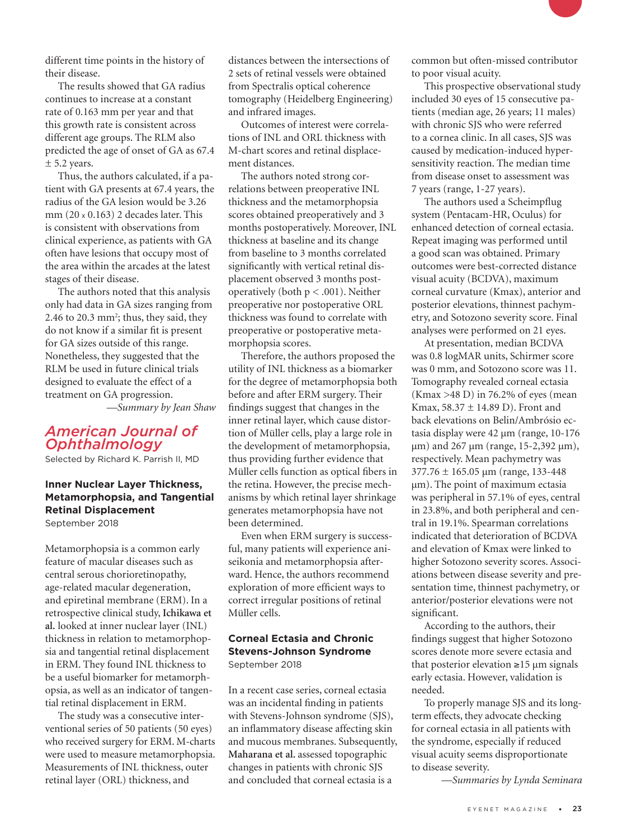different time points in the history of their disease.

The results showed that GA radius continues to increase at a constant rate of 0.163 mm per year and that this growth rate is consistent across different age groups. The RLM also predicted the age of onset of GA as 67.4  $± 5.2$  years.

Thus, the authors calculated, if a patient with GA presents at 67.4 years, the radius of the GA lesion would be 3.26 mm (20 x 0.163) 2 decades later. This is consistent with observations from clinical experience, as patients with GA often have lesions that occupy most of the area within the arcades at the latest stages of their disease.

The authors noted that this analysis only had data in GA sizes ranging from 2.46 to 20.3 mm<sup>2</sup>; thus, they said, they do not know if a similar fit is present for GA sizes outside of this range. Nonetheless, they suggested that the RLM be used in future clinical trials designed to evaluate the effect of a treatment on GA progression.

*—Summary by Jean Shaw*

## *American Journal of Ophthalmology*

Selected by Richard K. Parrish II, MD

#### **Inner Nuclear Layer Thickness, Metamorphopsia, and Tangential Retinal Displacement** September 2018

Metamorphopsia is a common early feature of macular diseases such as central serous chorioretinopathy, age-related macular degeneration, and epiretinal membrane (ERM). In a retrospective clinical study, **Ichikawa et al.** looked at inner nuclear layer (INL) thickness in relation to metamorphopsia and tangential retinal displacement in ERM. They found INL thickness to be a useful biomarker for metamorphopsia, as well as an indicator of tangential retinal displacement in ERM.

The study was a consecutive interventional series of 50 patients (50 eyes) who received surgery for ERM. M-charts were used to measure metamorphopsia. Measurements of INL thickness, outer retinal layer (ORL) thickness, and

distances between the intersections of 2 sets of retinal vessels were obtained from Spectralis optical coherence tomography (Heidelberg Engineering) and infrared images.

Outcomes of interest were correlations of INL and ORL thickness with M-chart scores and retinal displacement distances.

The authors noted strong correlations between preoperative INL thickness and the metamorphopsia scores obtained preoperatively and 3 months postoperatively. Moreover, INL thickness at baseline and its change from baseline to 3 months correlated significantly with vertical retinal displacement observed 3 months postoperatively (both p < .001). Neither preoperative nor postoperative ORL thickness was found to correlate with preoperative or postoperative metamorphopsia scores.

Therefore, the authors proposed the utility of INL thickness as a biomarker for the degree of metamorphopsia both before and after ERM surgery. Their findings suggest that changes in the inner retinal layer, which cause distortion of Müller cells, play a large role in the development of metamorphopsia, thus providing further evidence that Müller cells function as optical fibers in the retina. However, the precise mechanisms by which retinal layer shrinkage generates metamorphopsia have not been determined.

Even when ERM surgery is successful, many patients will experience aniseikonia and metamorphopsia afterward. Hence, the authors recommend exploration of more efficient ways to correct irregular positions of retinal Müller cells.

#### **Corneal Ectasia and Chronic Stevens-Johnson Syndrome** September 2018

In a recent case series, corneal ectasia was an incidental finding in patients with Stevens-Johnson syndrome (SJS), an inflammatory disease affecting skin and mucous membranes. Subsequently, **Maharana et al.** assessed topographic changes in patients with chronic SJS and concluded that corneal ectasia is a

common but often-missed contributor to poor visual acuity.

This prospective observational study included 30 eyes of 15 consecutive patients (median age, 26 years; 11 males) with chronic SJS who were referred to a cornea clinic. In all cases, SJS was caused by medication-induced hypersensitivity reaction. The median time from disease onset to assessment was 7 years (range, 1-27 years).

The authors used a Scheimpflug system (Pentacam-HR, Oculus) for enhanced detection of corneal ectasia. Repeat imaging was performed until a good scan was obtained. Primary outcomes were best-corrected distance visual acuity (BCDVA), maximum corneal curvature (Kmax), anterior and posterior elevations, thinnest pachymetry, and Sotozono severity score. Final analyses were performed on 21 eyes.

At presentation, median BCDVA was 0.8 logMAR units, Schirmer score was 0 mm, and Sotozono score was 11. Tomography revealed corneal ectasia  $(Kmax > 48 \text{ D})$  in 76.2% of eyes (mean Kmax, 58.37 ± 14.89 D). Front and back elevations on Belin/Ambrósio ectasia display were 42 µm (range, 10-176 µm) and 267 µm (range, 15-2,392 µm), respectively. Mean pachymetry was 377.76 ± 165.05 µm (range, 133-448 µm). The point of maximum ectasia was peripheral in 57.1% of eyes, central in 23.8%, and both peripheral and central in 19.1%. Spearman correlations indicated that deterioration of BCDVA and elevation of Kmax were linked to higher Sotozono severity scores. Associations between disease severity and presentation time, thinnest pachymetry, or anterior/posterior elevations were not significant.

According to the authors, their findings suggest that higher Sotozono scores denote more severe ectasia and that posterior elevation  $\geq 15 \mu m$  signals early ectasia. However, validation is needed.

To properly manage SJS and its longterm effects, they advocate checking for corneal ectasia in all patients with the syndrome, especially if reduced visual acuity seems disproportionate to disease severity.

*—Summaries by Lynda Seminara*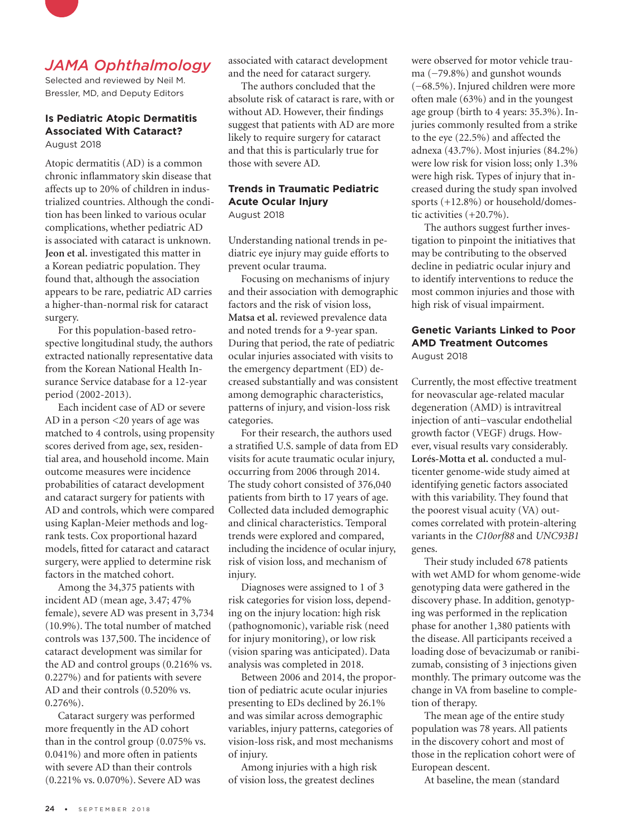

## *JAMA Ophthalmology*

Selected and reviewed by Neil M. Bressler, MD, and Deputy Editors

#### **Is Pediatric Atopic Dermatitis Associated With Cataract?** August 2018

Atopic dermatitis (AD) is a common chronic inflammatory skin disease that affects up to 20% of children in industrialized countries. Although the condition has been linked to various ocular complications, whether pediatric AD is associated with cataract is unknown. **Jeon et al.** investigated this matter in a Korean pediatric population. They found that, although the association appears to be rare, pediatric AD carries a higher-than-normal risk for cataract surgery.

For this population-based retrospective longitudinal study, the authors extracted nationally representative data from the Korean National Health Insurance Service database for a 12-year period (2002-2013).

Each incident case of AD or severe AD in a person <20 years of age was matched to 4 controls, using propensity scores derived from age, sex, residential area, and household income. Main outcome measures were incidence probabilities of cataract development and cataract surgery for patients with AD and controls, which were compared using Kaplan-Meier methods and logrank tests. Cox proportional hazard models, fitted for cataract and cataract surgery, were applied to determine risk factors in the matched cohort.

Among the 34,375 patients with incident AD (mean age, 3.47; 47% female), severe AD was present in 3,734 (10.9%). The total number of matched controls was 137,500. The incidence of cataract development was similar for the AD and control groups (0.216% vs. 0.227%) and for patients with severe AD and their controls (0.520% vs.  $0.276\%$ ).

Cataract surgery was performed more frequently in the AD cohort than in the control group (0.075% vs. 0.041%) and more often in patients with severe AD than their controls (0.221% vs. 0.070%). Severe AD was

associated with cataract development and the need for cataract surgery.

The authors concluded that the absolute risk of cataract is rare, with or without AD. However, their findings suggest that patients with AD are more likely to require surgery for cataract and that this is particularly true for those with severe AD.

#### **Trends in Traumatic Pediatric Acute Ocular Injury** August 2018

Understanding national trends in pediatric eye injury may guide efforts to prevent ocular trauma.

Focusing on mechanisms of injury and their association with demographic factors and the risk of vision loss, **Matsa et al.** reviewed prevalence data and noted trends for a 9-year span. During that period, the rate of pediatric ocular injuries associated with visits to the emergency department (ED) decreased substantially and was consistent among demographic characteristics, patterns of injury, and vision-loss risk categories.

For their research, the authors used a stratified U.S. sample of data from ED visits for acute traumatic ocular injury, occurring from 2006 through 2014. The study cohort consisted of 376,040 patients from birth to 17 years of age. Collected data included demographic and clinical characteristics. Temporal trends were explored and compared, including the incidence of ocular injury, risk of vision loss, and mechanism of injury.

Diagnoses were assigned to 1 of 3 risk categories for vision loss, depending on the injury location: high risk (pathognomonic), variable risk (need for injury monitoring), or low risk (vision sparing was anticipated). Data analysis was completed in 2018.

Between 2006 and 2014, the proportion of pediatric acute ocular injuries presenting to EDs declined by 26.1% and was similar across demographic variables, injury patterns, categories of vision-loss risk, and most mechanisms of injury.

Among injuries with a high risk of vision loss, the greatest declines

were observed for motor vehicle trauma (−79.8%) and gunshot wounds (−68.5%). Injured children were more often male (63%) and in the youngest age group (birth to 4 years: 35.3%). Injuries commonly resulted from a strike to the eye (22.5%) and affected the adnexa (43.7%). Most injuries (84.2%) were low risk for vision loss; only 1.3% were high risk. Types of injury that increased during the study span involved sports (+12.8%) or household/domestic activities (+20.7%).

The authors suggest further investigation to pinpoint the initiatives that may be contributing to the observed decline in pediatric ocular injury and to identify interventions to reduce the most common injuries and those with high risk of visual impairment.

# **Genetic Variants Linked to Poor AMD Treatment Outcomes**

August 2018

Currently, the most effective treatment for neovascular age-related macular degeneration (AMD) is intravitreal injection of anti−vascular endothelial growth factor (VEGF) drugs. However, visual results vary considerably. **Lorés-Motta et al.** conducted a multicenter genome-wide study aimed at identifying genetic factors associated with this variability. They found that the poorest visual acuity (VA) outcomes correlated with protein-altering variants in the *C10orf88* and *UNC93B1* genes.

Their study included 678 patients with wet AMD for whom genome-wide genotyping data were gathered in the discovery phase. In addition, genotyping was performed in the replication phase for another 1,380 patients with the disease. All participants received a loading dose of bevacizumab or ranibizumab, consisting of 3 injections given monthly. The primary outcome was the change in VA from baseline to completion of therapy.

The mean age of the entire study population was 78 years. All patients in the discovery cohort and most of those in the replication cohort were of European descent.

At baseline, the mean (standard